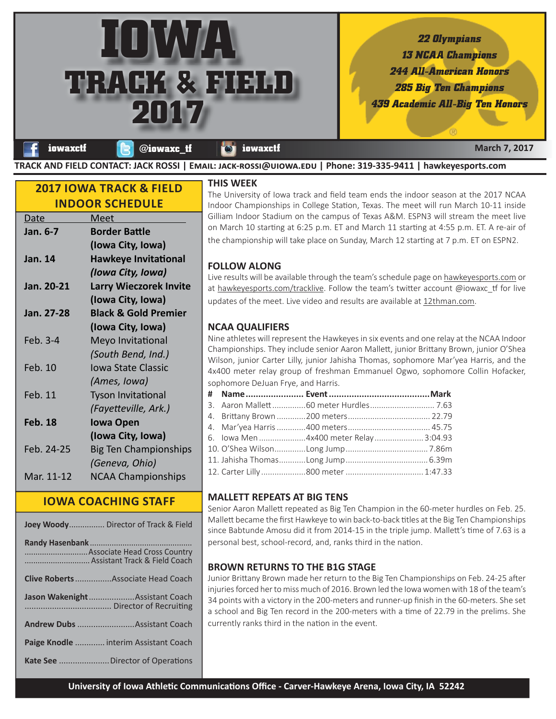

**TRACK AND FIELD CONTACT: JACK ROSSI | Eî½: ¹»-ÙÊÝÝ®Μç®Êó.ç | Phone: 319-335-9411 | hawkeyesports.com**

# **2017 IOWA TRACK & FIELD INDOOR SCHEDULE**

| <u>Date</u>    | Meet                            |
|----------------|---------------------------------|
| Jan. 6-7       | <b>Border Battle</b>            |
|                | (Iowa City, Iowa)               |
| Jan. 14        | <b>Hawkeye Invitational</b>     |
|                | (Iowa City, Iowa)               |
| Jan. 20-21     | <b>Larry Wieczorek Invite</b>   |
|                | (Iowa City, Iowa)               |
| Jan. 27-28     | <b>Black &amp; Gold Premier</b> |
|                | (Iowa City, Iowa)               |
| Feb. 3-4       | Meyo Invitational               |
|                | (South Bend, Ind.)              |
| Feb. 10        | <b>Iowa State Classic</b>       |
|                | (Ames, Iowa)                    |
| Feb. 11        | <b>Tyson Invitational</b>       |
|                | (Fayetteville, Ark.)            |
| <b>Feb. 18</b> | <b>Iowa Open</b>                |
|                | (Iowa City, Iowa)               |
| Feb. 24-25     | <b>Big Ten Championships</b>    |
|                | (Geneva, Ohio)                  |
| Mar. 11-12     | <b>NCAA Championships</b>       |
|                |                                 |

# **IOWA COACHING STAFF**

| Joey Woody Director of Track & Field      |
|-------------------------------------------|
| Assistant Track & Field Coach             |
| <b>Clive Roberts</b> Associate Head Coach |
| Jason WakenightAssistant Coach            |
| <b>Andrew Dubs </b> Assistant Coach       |
| Paige Knodle  interim Assistant Coach     |
|                                           |

### **THIS WEEK**

The University of Iowa track and field team ends the indoor season at the 2017 NCAA Indoor Championships in College Station, Texas. The meet will run March 10-11 inside Gilliam Indoor Stadium on the campus of Texas A&M. ESPN3 will stream the meet live on March 10 starting at 6:25 p.m. ET and March 11 starting at 4:55 p.m. ET. A re-air of the championship will take place on Sunday, March 12 starting at 7 p.m. ET on ESPN2.

## **FOLLOW ALONG**

Live results will be available through the team's schedule page on hawkeyesports.com or at hawkeyesports.com/tracklive. Follow the team's twitter account @iowaxc\_tf for live updates of the meet. Live video and results are available at 12thman.com.

# **NCAA QUALIFIERS**

Nine athletes will represent the Hawkeyes in six events and one relay at the NCAA Indoor Championships. They include senior Aaron Mallett, junior Brittany Brown, junior O'Shea Wilson, junior Carter Lilly, junior Jahisha Thomas, sophomore Mar'yea Harris, and the 4x400 meter relay group of freshman Emmanuel Ogwo, sophomore Collin Hofacker, sophomore DeJuan Frye, and Harris.

|  | 3. Aaron Mallett 60 meter Hurdles  7.63 |  |
|--|-----------------------------------------|--|
|  |                                         |  |
|  |                                         |  |
|  | 6. lowa Men 4x400 meter Relay 3:04.93   |  |
|  |                                         |  |
|  |                                         |  |
|  |                                         |  |

## **MALLETT REPEATS AT BIG TENS**

Senior Aaron Mallett repeated as Big Ten Champion in the 60-meter hurdles on Feb. 25. Mallett became the first Hawkeye to win back-to-back titles at the Big Ten Championships since Babtunde Amosu did it from 2014-15 in the triple jump. Mallett's time of 7.63 is a personal best, school-record, and, ranks third in the nation.

## **BROWN RETURNS TO THE B1G STAGE**

Junior Brittany Brown made her return to the Big Ten Championships on Feb. 24-25 after injuries forced her to miss much of 2016. Brown led the Iowa women with 18 of the team's 34 points with a victory in the 200-meters and runner-up finish in the 60-meters. She set a school and Big Ten record in the 200-meters with a time of 22.79 in the prelims. She currently ranks third in the nation in the event.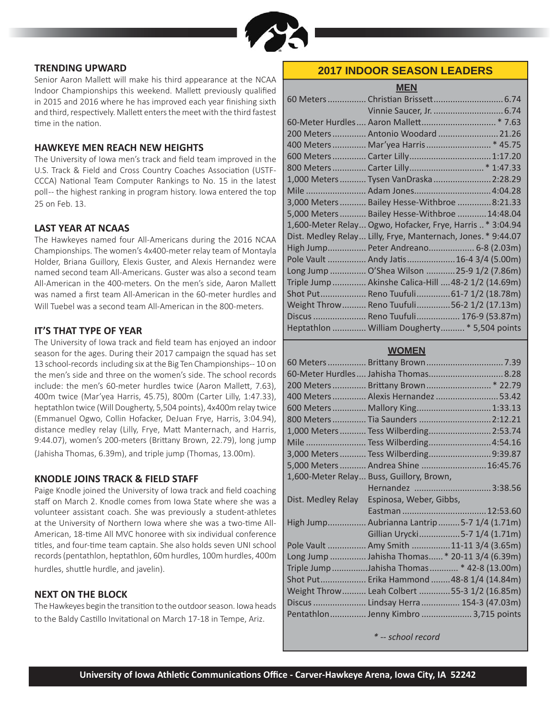

### **TRENDING UPWARD**

Senior Aaron Mallett will make his third appearance at the NCAA Indoor Championships this weekend. Mallett previously qualified in 2015 and 2016 where he has improved each year finishing sixth and third, respectively. Mallett enters the meet with the third fastest time in the nation.

### **HAWKEYE MEN REACH NEW HEIGHTS**

The University of Iowa men's track and field team improved in the U.S. Track & Field and Cross Country Coaches Association (USTF-CCCA) National Team Computer Rankings to No. 15 in the latest poll -- the highest ranking in program history. Iowa entered the top 25 on Feb. 13.

### **LAST YEAR AT NCAAS**

The Hawkeyes named four All-Americans during the 2016 NCAA Championships. The women's 4x400-meter relay team of Montayla Holder, Briana Guillory, Elexis Guster, and Alexis Hernandez were named second team All-Americans. Guster was also a second team All-American in the 400-meters. On the men's side, Aaron Mallett was named a first team All-American in the 60-meter hurdles and Will Tuebel was a second team All-American in the 800-meters.

### **IT'S THAT TYPE OF YEAR**

The University of Iowa track and field team has enjoyed an indoor season for the ages. During their 2017 campaign the squad has set 13 school-records including six at the Big Ten Championships-- 10 on the men's side and three on the women's side. The school records include: the men's 60-meter hurdles twice (Aaron Mallett, 7.63), 400m twice (Mar'yea Harris, 45.75), 800m (Carter Lilly, 1:47.33), heptathlon twice (Will Dougherty, 5,504 points), 4x400m relay twice (Emmanuel Ogwo, Collin Hofacker, DeJuan Frye, Harris, 3:04.94), distance medley relay (Lilly, Frye, Matt Manternach, and Harris, 9:44.07), women's 200-meters (Brittany Brown, 22.79), long jump (Jahisha Thomas, 6.39m), and triple jump (Thomas, 13.00m).

### **KNODLE JOINS TRACK & FIELD STAFF**

Paige Knodle joined the University of Iowa track and field coaching staff on March 2. Knodle comes from Iowa State where she was a volunteer assistant coach. She was previously a student-athletes at the University of Northern Iowa where she was a two-time All-American, 18-time All MVC honoree with six individual conference titles, and four-time team captain. She also holds seven UNI school records (pentathlon, heptathlon, 60m hurdles, 100m hurdles, 400m hurdles, shuttle hurdle, and javelin).

### **NEXT ON THE BLOCK**

The Hawkeyes begin the transition to the outdoor season. Iowa heads to the Baldy Castillo Invitational on March 17-18 in Tempe, Ariz.

## **2017 INDOOR SEASON LEADERS**

**MEN**

| 200 Meters  Antonio Woodard  21.26                           |  |
|--------------------------------------------------------------|--|
| 400 Meters  Mar'yea Harris  * 45.75                          |  |
| 600 Meters  Carter Lilly  1:17.20                            |  |
|                                                              |  |
| 1,000 Meters  Tysen VanDraska  2:28.29                       |  |
|                                                              |  |
| 3,000 Meters  Bailey Hesse-Withbroe  8:21.33                 |  |
| 5,000 Meters  Bailey Hesse-Withbroe  14:48.04                |  |
| 1,600-Meter Relay Ogwo, Hofacker, Frye, Harris* 3:04.94      |  |
| Dist. Medley Relay Lilly, Frye, Manternach, Jones. * 9:44.07 |  |
| High Jump Peter Andreano 6-8 (2.03m)                         |  |
| Pole Vault  Andy Jatis  16-4 3/4 (5.00m)                     |  |
| Long Jump  O'Shea Wilson 25-9 1/2 (7.86m)                    |  |
| Triple Jump Akinshe Calica-Hill  48-2 1/2 (14.69m)           |  |
| Shot Put Reno Tuufuli 61-7 1/2 (18.78m)                      |  |
| Weight Throw Reno Tuufuli56-2 1/2 (17.13m)                   |  |
| Discus  Reno Tuufuli 176-9 (53.87m)                          |  |
| Heptathlon  William Dougherty  * 5,504 points                |  |

## **WOMEN**

|                                       | 60-Meter Hurdles  Jahisha Thomas  8.28        |  |
|---------------------------------------|-----------------------------------------------|--|
|                                       | 200 Meters  Brittany Brown  * 22.79           |  |
|                                       | 400 Meters  Alexis Hernandez  53.42           |  |
|                                       | 600 Meters  Mallory King 1:33.13              |  |
|                                       | 800 Meters  Tia Saunders  2:12.21             |  |
|                                       | 1,000 Meters  Tess Wilberding 2:53.74         |  |
|                                       | Mile  Tess Wilberding 4:54.16                 |  |
|                                       | 3,000 Meters  Tess Wilberding 9:39.87         |  |
|                                       | 5,000 Meters  Andrea Shine  16:45.76          |  |
|                                       | 1,600-Meter Relay Buss, Guillory, Brown,      |  |
|                                       | Hernandez 3:38.56                             |  |
|                                       | Dist. Medley Relay Espinosa, Weber, Gibbs,    |  |
|                                       |                                               |  |
|                                       | High Jump Aubrianna Lantrip 5-7 1/4 (1.71m)   |  |
|                                       | Gillian Urycki5-7 1/4 (1.71m)                 |  |
|                                       | Pole Vault  Amy Smith 11-11 3/4 (3.65m)       |  |
|                                       | Long Jump  Jahisha Thomas * 20-11 3/4 (6.39m) |  |
|                                       | Triple Jump Jahisha Thomas  * 42-8 (13.00m)   |  |
|                                       | Shot Put Erika Hammond  48-8 1/4 (14.84m)     |  |
|                                       | Weight Throw Leah Colbert 55-3 1/2 (16.85m)   |  |
| Discus  Lindsay Herra  154-3 (47.03m) |                                               |  |
|                                       | Pentathlon Jenny Kimbro  3,715 points         |  |

*\* -- school record*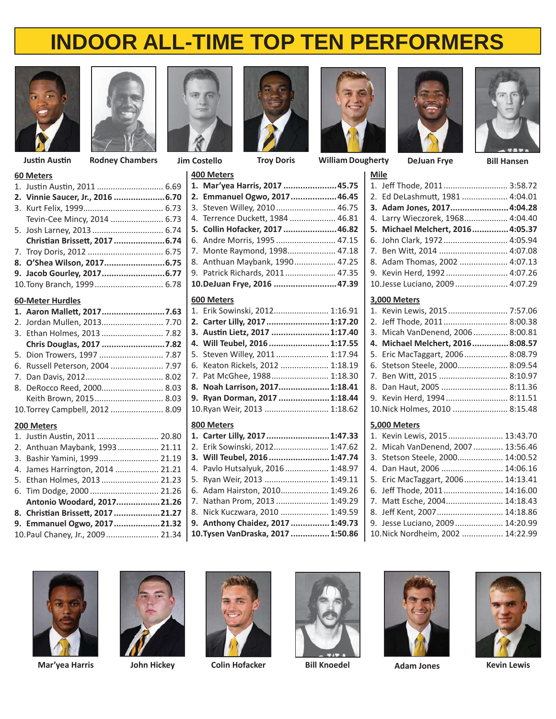



| <b>60 Meters</b>                 |  |
|----------------------------------|--|
|                                  |  |
| 2. Vinnie Saucer, Jr., 2016 6.70 |  |
|                                  |  |
| Tevin-Cee Mincy, 2014  6.73      |  |
|                                  |  |
| Christian Brissett, 2017 6.74    |  |
|                                  |  |
|                                  |  |
|                                  |  |
|                                  |  |

### **60-Meter Hurdles**

| 1. Aaron Mallett, 20177.63      |  |
|---------------------------------|--|
| 2. Jordan Mullen, 2013 7.70     |  |
| 3. Ethan Holmes, 2013  7.82     |  |
| Chris Douglas, 2017 7.82        |  |
|                                 |  |
| 6. Russell Peterson, 2004  7.97 |  |
|                                 |  |
| 8. DeRocco Reed, 2000 8.03      |  |
| Keith Brown, 2015 8.03          |  |
| 10. Torrey Campbell, 2012  8.09 |  |

### **200 Meters**

| 2. Anthuan Maybank, 1993 21.11   2. Erik Sowinski, 2012 1:47.62        |                                  |  |
|------------------------------------------------------------------------|----------------------------------|--|
|                                                                        |                                  |  |
| 4. James Harrington, 2014  21.21                                       | 4. Pavlo Hutsalyuk, 2016 1:48.97 |  |
| 5. Ethan Holmes, 2013  21.23   5. Ryan Weir, 2013  1:49.11             |                                  |  |
|                                                                        |                                  |  |
| Antonio Woodard, 201721.26   7. Nathan Prom, 2013 1:49.29              |                                  |  |
| 8. Christian Brissett, 2017 21.27   8. Nick Kuczwara, 2010  1:49.59    |                                  |  |
| 9. Emmanuel Ogwo, 201721.32   9. Anthony Chaidez, 2017 1:49.73         |                                  |  |
| 10. Paul Chaney, Jr., 2009  21.34   10. Tysen VanDraska, 2017  1:50.86 |                                  |  |



**400 Meters**

**600 Meters**

**800 Meters**

**1. Mar'yea Harris, 2017 ......................45.75 2. Emmanuel Ogwo, 2017 ...................46.45** 3. Steven Willey, 2010 .......................... 46.75 4. Terrence Duckett, 1984 ................... 46.81 **5. Collin Hofacker, 2017 ......................46.82** 6. Andre Morris, 1995 .......................... 47.15 7. Monte Raymond, 1998 ..................... 47.18 8. Anthuan Maybank, 1990 .................. 47.25 9. Patrick Richards, 2011 ...................... 47.35 **10. DeJuan Frye, 2016 ..........................47.39**

1. Erik Sowinski, 2012 ........................ 1:16.91 **2. Carter Lilly, 2017 ..........................1:17.20 3. AusƟ n Lietz, 2017 ........................1:17.40 4. Will Teubel, 2016 .........................1:17.55** 5. Steven Willey, 2011 ....................... 1:17.94 6. Keaton Rickels, 2012 ..................... 1:18.19 7. Pat McGhee, 1988 ......................... 1:18.30 **8. Noah Larrison, 2017 .....................1:18.41 9. Ryan Dorman, 2017 .....................1:18.44** 10. Ryan Weir, 2013 ............................ 1:18.62



**JusƟ n AusƟ n Rodney Chambers Jim Costello Troy Doris Bill Hansen William Dougherty DeJuan Frye**





| <b>Mile</b> |                                   |  |
|-------------|-----------------------------------|--|
|             | 1. Jeff Thode, 2011 3:58.72       |  |
|             | 2. Ed DeLashmutt, 1981  4:04.01   |  |
|             | 3. Adam Jones, 2017 4:04.28       |  |
|             | 4. Larry Wieczorek, 1968 4:04.40  |  |
|             | 5. Michael Melchert, 2016 4:05.37 |  |
|             | 6. John Clark, 1972 4:05.94       |  |
|             | 7. Ben Witt, 2014  4:07.08        |  |
|             | 8. Adam Thomas, 2002  4:07.13     |  |
|             | 9. Kevin Herd, 1992  4:07.26      |  |
|             | 10. Jesse Luciano, 2009  4:07.29  |  |
|             |                                   |  |

### **3,000 Meters**

| 1. Kevin Lewis, 2015 7:57.06     |  |
|----------------------------------|--|
| 2. Jeff Thode, 2011 8:00.38      |  |
| 3. Micah VanDenend, 2006 8:00.81 |  |
| 4. Michael Melchert, 20168:08.57 |  |
| 5. Eric MacTaggart, 2006 8:08.79 |  |
| 6. Stetson Steele, 2000 8:09.54  |  |
| 7. Ben Witt, 2015  8:10.97       |  |
| 8. Dan Haut, 2005  8:11.36       |  |
| 9. Kevin Herd, 1994 8:11.51      |  |
| 10. Nick Holmes, 2010  8:15.48   |  |
|                                  |  |

### **5,000 Meters**

| 1. Kevin Lewis, 2015 13:43.70      |  |
|------------------------------------|--|
| 2. Micah VanDenend, 2007  13:56.46 |  |
| 3. Stetson Steele, 2000 14:00.52   |  |
| 4. Dan Haut, 2006  14:06.16        |  |
| 5. Eric MacTaggart, 2006 14:13.41  |  |
| 6. Jeff Thode, 2011 14:16.00       |  |
| 7. Matt Esche, 2004 14:18.43       |  |
| 8. Jeff Kent, 2007 14:18.86        |  |
| 9. Jesse Luciano, 2009 14:20.99    |  |
| 10. Nick Nordheim, 2002  14:22.99  |  |







**John Hickey Colin Hofacker Bill Knoedel Mar'yea Harris Adam Jones**







**Kevin Lewis**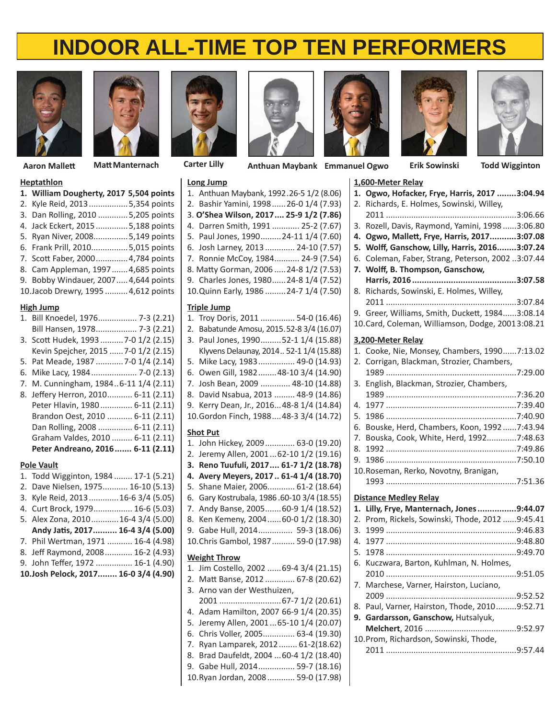



**MaƩ Manternach Erik Sowinski Todd Wigginton Aaron MalleƩ Carter Lilly Anthuan Maybank Emmanuel Ogwo**

### **Heptathlon**

| 1. William Dougherty, 2017 5,504 points |  |
|-----------------------------------------|--|
| 2. Kyle Reid, 2013 5,354 points         |  |
| 3. Dan Rolling, 2010 5,205 points       |  |
| 4. Jack Eckert, 2015  5,188 points      |  |
| 5. Ryan Niver, 2008 5,149 points        |  |
| 6. Frank Prill, 20105,015 points        |  |
| 7. Scott Faber, 2000 4,784 points       |  |
| 8. Cam Appleman, 1997 4,685 points      |  |
| 9. Bobby Windauer, 2007 4,644 points    |  |
| 10. Jacob Drewry, 1995  4,612 points    |  |

### **High Jump**

| 1. Bill Knoedel, 1976 7-3 (2.21)      |
|---------------------------------------|
| Bill Hansen, 1978 7-3 (2.21)          |
| 3. Scott Hudek, 1993  7-0 1/2 (2.15)  |
| Kevin Spejcher, 2015  7-0 1/2 (2.15)  |
| 5. Pat Meade, 1987  7-0 1/4 (2.14)    |
| 6. Mike Lacy, 1984 7-0 (2.13)         |
| 7. M. Cunningham, 19846-11 1/4 (2.11) |
| 8. Jeffery Herron, 2010 6-11 (2.11)   |
| Peter Hlavin, 1980 6-11 (2.11)        |
| Brandon Oest, 2010  6-11 (2.11)       |
| Dan Rolling, 2008  6-11 (2.11)        |
| Graham Valdes, 2010  6-11 (2.11)      |
| Peter Andreano, 2016 6-11 (2.11)      |

### **Pole Vault**

- 1. Todd Wigginton, 1984 ........ 17-1 (5.21) 2. Dave Nielsen, 1975 ........... 16-10 (5.13)
- 3. Kyle Reid, 2013 .............16-6 3/4 (5.05)
- 4. Curt Brock, 1979 ................. 16-6 (5.03)
- 5. Alex Zona, 2010 ............16-4 3/4 (5.00)
- **Andy JaƟ s, 2017 .......... 16-4 3/4 (5.00)**
- 7. Phil Wertman, 1971 ........... 16-4 (4.98) 8. Jeff Raymond, 2008 ............ 16-2 (4.93)
- 9. John Teffer, 1972 ............... 16-1 (4.90) **10. Josh Pelock, 2017 ........ 16-0 3/4 (4.90)**



**Long Jump**

**Triple Jump**

**Shot Put**

**Weight Throw**

1. Anthuan Maybank, 1992 .26-5 1/2 (8.06) 2. Bashir Yamini, 1998 ......26-0 1/4 (7.93) 3. **O'Shea Wilson, 2017 .... 25-9 1/2 (7.86)** 4. Darren Smith, 1991 ............ 25-2 (7.67) 5. Paul Jones, 1990 .........24-11 1/4 (7.60) 6. Josh Larney, 2013 ............. 24-10 (7.57) 7. Ronnie McCoy, 1984 ........... 24-9 (7.54) 8. Matty Gorman, 2006 ..... 24-8 1/2 (7.53) 9. Charles Jones, 1980...... 24-8 1/4 (7.52) 10. Quinn Early, 1986 .........24-7 1/4 (7.50)

1. Troy Doris, 2011 ............... 54-0 (16.46) 2. Babatunde Amosu, 2015 .52-8 3/4 (16.07) 3. Paul Jones, 1990 .........52-1 1/4 (15.88) Klyvens Delaunay, 2014 .. 52-1 1/4 (15.88) 5. Mike Lacy, 1983 ................ 49-0 (14.93) 6. Owen Gill, 1982 ........48-10 3/4 (14.90) 7. Josh Bean, 2009 ............. 48-10 (14.88) 8. David Nsabua, 2013 ......... 48-9 (14.86) 9. Kerry Dean, Jr., 2016...48-8 1/4 (14.84) 10. Gordon Finch, 1988 ....48-3 3/4 (14.72)

1. John Hickey, 2009 ............. 63-0 (19.20) 2. Jeremy Allen, 2001 ...62-10 1/2 (19.16) **3. Reno Tuufuli, 2017 .... 61-7 1/2 (18.78) 4. Avery Meyers, 2017 .. 61-4 1/4 (18.70)** 5. Shane Maier, 2006............ 61-2 (18.64) 6. Gary Kostrubala, 1986 .60-10 3/4 (18.55) 7. Andy Banse, 2005 .......60-9 1/4 (18.52) 8. Ken Kemeny, 2004 ......60-0 1/2 (18.30) 9. Gabe Hull, 2014 ............... 59-3 (18.06) 10. Chris Gambol, 1987 .......... 59-0 (17.98)

1. Jim Costello, 2002 ......69-4 3/4 (21.15) 2. MaƩ Banse, 2012 ............. 67-8 (20.62)

 2001 ...........................67-7 1/2 (20.61) 4. Adam Hamilton, 2007 66-9 1/4 (20.35) 5. Jeremy Allen, 2001 ...65-10 1/4 (20.07) 6. Chris Voller, 2005 .............. 63-4 (19.30) 7. Ryan Lamparek, 2012 ........ 61-2(18.62) 8. Brad Daufeldt, 2004 ...60-4 1/2 (18.40) 9. Gabe Hull, 2014 ................ 59-7 (18.16) 10. Ryan Jordan, 2008 ............ 59-0 (17.98)

3. Arno van der Westhuizen,







|    | 1,600-Meter Relay                                 |  |
|----|---------------------------------------------------|--|
|    | 1. Ogwo, Hofacker, Frye, Harris, 2017 3:04.94     |  |
| 2. | Richards, E. Holmes, Sowinski, Willey,            |  |
|    |                                                   |  |
| 3. | Rozell, Davis, Raymond, Yamini, 19983:06.80       |  |
|    | 4. Ogwo, Mallett, Frye, Harris, 20173:07.08       |  |
| 5. | Wolff, Ganschow, Lilly, Harris, 20163:07.24       |  |
| 6. | Coleman, Faber, Strang, Peterson, 2002 3:07.44    |  |
| 7. | Wolff, B. Thompson, Ganschow,                     |  |
|    |                                                   |  |
| 8. | Richards, Sowinski, E. Holmes, Willey,            |  |
|    |                                                   |  |
| 9. | Greer, Williams, Smith, Duckett, 19843:08.14      |  |
|    | 10. Card, Coleman, Williamson, Dodge, 20013:08.21 |  |
|    | 3,200-Meter Relay                                 |  |
|    | 1. Cooke, Nie, Monsey, Chambers, 19907:13.02      |  |
| 2. | Corrigan, Blackman, Strozier, Chambers,           |  |
|    |                                                   |  |
| 3. | English, Blackman, Strozier, Chambers,            |  |
|    |                                                   |  |
| 4. |                                                   |  |
| 5. |                                                   |  |
| 6. | Bouske, Herd, Chambers, Koon, 19927:43.94         |  |
| 7. | Bouska, Cook, White, Herd, 19927:48.63            |  |
| 8. |                                                   |  |
| 9. |                                                   |  |
|    | 10. Roseman, Rerko, Novotny, Branigan,            |  |
|    |                                                   |  |
|    | <b>Distance Medley Relay</b>                      |  |
| 1. | Lilly, Frye, Manternach, Jones9:44.07             |  |
| 2. | Prom, Rickels, Sowinski, Thode, 2012 9:45.41      |  |
| 3. |                                                   |  |
| 4. |                                                   |  |
| 5. |                                                   |  |
| 6. | Kuczwara, Barton, Kuhlman, N. Holmes,             |  |
|    |                                                   |  |
| 7. | Marchese, Varner, Hairston, Luciano,              |  |
|    |                                                   |  |
|    | 8. Paul, Varner, Hairston, Thode, 20109:52.71     |  |
| 9. | Gardarsson, Ganschow, Hutsalyuk,                  |  |
|    |                                                   |  |
|    | 10 Dram Dishardcan Cawinski Thada                 |  |

 **Melchert**, 2016 ........................................9:52.97 10. Prom, Richardson, Sowinski, Thode, 2011 .........................................................9:57.44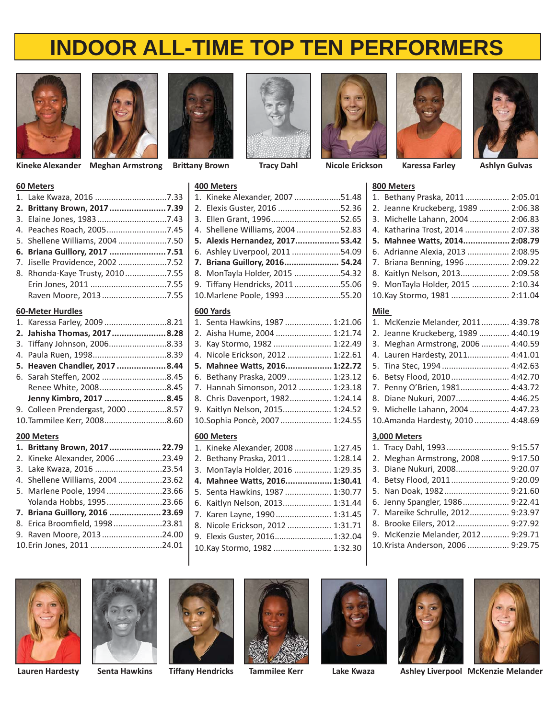



**Kineke Alexander Meghan Armstrong Nicole Erickson Karessa Farley**



**Tracy Dahl**







**Nicole Erickson Karessa Farley Ashlyn Gulvas** 

## **60 Meters**

| 1. | Lake Kwaza, 2016 7.33          |  |
|----|--------------------------------|--|
| 2. | Brittany Brown, 2017  7.39     |  |
| 3. | Elaine Jones, 19837.43         |  |
| 4. | Peaches Roach, 20057.45        |  |
| 5. | Shellene Williams, 2004 7.50   |  |
| 6. | Briana Guillory, 2017 7.51     |  |
| 7. | Jiselle Providence, 2002 7.52  |  |
| 8. | Rhonda-Kaye Trusty, 20107.55   |  |
|    |                                |  |
|    | Raven Moore, 20137.55          |  |
|    | <b>60-Meter Hurdles</b>        |  |
| 1. | Karessa Farley, 2009 8.21      |  |
| 2. | Jahisha Thomas, 20178.28       |  |
| 3. | Tiffany Johnson, 20068.33      |  |
| 4. | Paula Ruen, 19988.39           |  |
| 5. | Heaven Chandler, 2017  8.44    |  |
| 6. | Sarah Steffen, 2002 8.45       |  |
|    | Renee White, 20088.45          |  |
|    | Jenny Kimbro, 2017 8.45        |  |
| 9. | Colleen Prendergast, 2000 8.57 |  |
|    | 10. Tammilee Kerr, 20088.60    |  |
|    | 200 Meters                     |  |
| 1. | Brittany Brown, 2017  22.79    |  |
| 2. | Kineke Alexander, 2006 23.49   |  |
| 3. | Lake Kwaza, 2016 23.54         |  |
| 4. | Shellene Williams, 2004 23.62  |  |
| 5. | Marlene Poole, 199423.66       |  |
|    | Yolanda Hobbs, 199523.66       |  |
| 7. | Briana Guillory, 2016  23.69   |  |
| 8. | Erica Broomfield, 199823.81    |  |
| 9. | Raven Moore, 201324.00         |  |

# **400 Meters** 1. Kineke Alexander, 2007 ....................51.48 2. Elexis Guster, 2016 ...........................52.36 3. Ellen Grant, 1996 ..............................52.65 4. Shellene Williams, 2004 ...................52.83 **5. Alexis Hernandez, 2017 .................. 53.42** 6. Ashley Liverpool, 2011 .....................54.09 **7. Briana Guillory, 2016 ....................... 54.24** 8. MonTayla Holder, 2015 ....................54.32 9. Tiffany Hendricks, 2011....................55.06 10. Marlene Poole, 1993 ........................55.20

## **600 Yards**

| 1. Senta Hawkins, 1987  1:21.06   |  |
|-----------------------------------|--|
| 2. Aisha Hume, 2004  1:21.74      |  |
| 3. Kay Stormo, 1982  1:22.49      |  |
| 4. Nicole Erickson, 2012  1:22.61 |  |
| 5. Mahnee Watts, 2016 1:22.72     |  |
| 6. Bethany Praska, 2009 1:23.12   |  |
| 7. Hannah Simonson, 2012  1:23.18 |  |
| 8. Chris Davenport, 1982 1:24.14  |  |
| 9. Kaitlyn Nelson, 2015 1:24.52   |  |
| 10.Sophia Poncè, 2007  1:24.55    |  |
|                                   |  |

### **600 Meters**

| 1. Kineke Alexander, 2008  1:27.45 |  |
|------------------------------------|--|
| 2. Bethany Praska, 2011 1:28.14    |  |
| 3. MonTayla Holder, 2016  1:29.35  |  |
| 4. Mahnee Watts, 2016 1:30.41      |  |
| 5. Senta Hawkins, 1987  1:30.77    |  |
| 6. Kaitlyn Nelson, 2013 1:31.44    |  |
| 7. Karen Layne, 1990 1:31.45       |  |
| 8. Nicole Erickson, 2012  1:31.71  |  |
| 9. Elexis Guster, 2016 1:32.04     |  |
| 10.Kay Stormo, 1982  1:32.30       |  |
|                                    |  |

# 1. Bethany Praska, 2011 ................... 2:05.01 2. Jeanne Kruckeberg, 1989 ............. 2:06.38 3. Michelle Lahann, 2004 ................. 2:06.83 4. Katharina Trost, 2014 ................... 2:07.38 **5. Mahnee WaƩ s, 2014 ................... 2:08.79** 6. Adrianne Alexia, 2013 .................. 2:08.95 7. Briana Benning, 1996 ................... 2:09.22 8. Kaitlyn Nelson, 2013 ..................... 2:09.58 9. MonTayla Holder, 2015 ................ 2:10.34 10. Kay Stormo, 1981 ......................... 2:11.04

### **Mile**

**800 Meters**

| 1. McKenzie Melander, 2011 4:39.78  |  |
|-------------------------------------|--|
| 2. Jeanne Kruckeberg, 1989  4:40.19 |  |
| 3. Meghan Armstrong, 2006  4:40.59  |  |
| 4. Lauren Hardesty, 2011 4:41.01    |  |
| 5. Tina Stec, 1994 4:42.63          |  |
| 6. Betsy Flood, 2010 4:42.70        |  |
| 7. Penny O'Brien, 1981 4:43.72      |  |
| 8. Diane Nukuri, 2007 4:46.25       |  |
| 9. Michelle Lahann, 2004  4:47.23   |  |
| 10.Amanda Hardesty, 2010  4:48.69   |  |
|                                     |  |

### **3,000 Meters**

| 2. Meghan Armstrong, 2008  9:17.50 |
|------------------------------------|
| 3. Diane Nukuri, 2008 9:20.07      |
| 4. Betsy Flood, 2011 9:20.09       |
| 5. Nan Doak, 1982 9:21.60          |
| 6. Jenny Spangler, 1986 9:22.41    |
| 7. Mareike Schrulle, 2012 9:23.97  |
| 8. Brooke Eilers, 2012 9:27.92     |
| 9. McKenzie Melander, 2012 9:29.71 |
| 10. Krista Anderson, 2006  9:29.75 |





10. Erin Jones, 2011 ...............................24.01













**Senta Hawkins Tiff any Hendricks**

**Lauren Hardesty Tammilee Kerr Lake Kwaza Ashley Liverpool McKenzie Melander**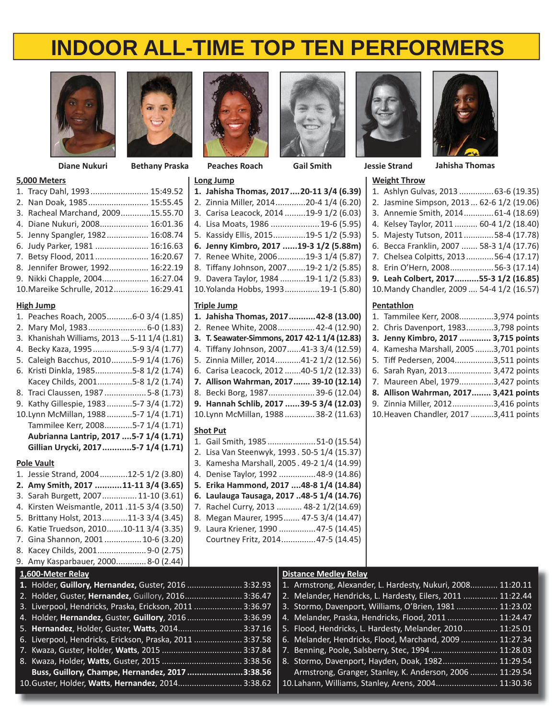**1. Jahisha Thomas, 2017 ....20-11 3/4 (6.39)** 2. Zinnia Miller, 2014 .............20-4 1/4 (6.20) 3. Carisa Leacock, 2014 .........19-9 1/2 (6.03) 4. Lisa Moats, 1986 ..................... 19-6 (5.95) 5. Kassidy Ellis, 2015 ..............19-5 1/2 (5.93) **6. Jenny Kimbro, 2017 ......19-3 1/2 (5.88m)** 7. Renee White, 2006 ............19-3 1/4 (5.87) 8. Tiffany Johnson, 2007........19-2 1/2 (5.85) 9. Davera Taylor, 1984 ...........19-1 1/2 (5.83) 10. Yolanda Hobbs, 1993 ............... 19-1 (5.80)



### **5,000 Meters**

| J,UUU IVIL LLIJ                     |  |
|-------------------------------------|--|
| 1. Tracy Dahl, 1993 15:49.52        |  |
| 2. Nan Doak, 1985 15:55.45          |  |
| 3. Racheal Marchand, 200915.55.70   |  |
| 4. Diane Nukuri, 2008 16:01.36      |  |
| 5. Jenny Spangler, 1982 16:08.74    |  |
| 6. Judy Parker, 1981  16:16.63      |  |
| 7. Betsy Flood, 2011 16:20.67       |  |
| 8. Jennifer Brower, 1992 16:22.19   |  |
| 9. Nikki Chapple, 2004 16:27.04     |  |
| 10. Mareike Schrulle, 2012 16:29.41 |  |

# **High Jump**

| High Jump                                                                  | <b>Triple Jump</b>                                  |  |
|----------------------------------------------------------------------------|-----------------------------------------------------|--|
| 1. Peaches Roach, 20056-0 3/4 (1.85)                                       | 1. Jahisha Thomas, 201742-8 (13.00)                 |  |
| 2. Mary Mol, 1983 6-0 (1.83)                                               | 2. Renee White, 2008 42-4 (12.90)                   |  |
| 3. Khanishah Williams, 2013  5-11 1/4 (1.81)                               | 3. T. Seawater-Simmons, 2017 42-1 1/4 (12.83)       |  |
| 4. Becky Kaza, 19955-9 3/4 (1.77)                                          | 4. Tiffany Johnson, 200741-3 3/4 (12.59)            |  |
| 5. Caleigh Bacchus, 20105-9 1/4 (1.76)                                     | 5. Zinnia Miller, 201441-2 1/2 (12.56)              |  |
| 6. Kristi Dinkla, 19855-8 1/2 (1.74)                                       | 6. Carisa Leacock, 2012 40-5 1/2 (12.33)            |  |
| Kacey Childs, 20015-8 1/2 (1.74)                                           | 7. Allison Wahrman, 2017 39-10 (12.14)              |  |
| 8. Traci Claussen, 19875-8 (1.73)                                          | 8. Becki Borg, 1987 39-6 (12.04)                    |  |
| 9. Kathy Gillespie, 19835-7 3/4 (1.72)                                     | 9. Hannah Schlib, 2017 39-5 3/4 (12.03)             |  |
| 10.Lynn McMillan, 19885-7 1/4 (1.71)                                       | 10.Lynn McMillan, 1988 38-2 (11.63)                 |  |
| Tammilee Kerr, 20085-7 1/4 (1.71)                                          |                                                     |  |
| Aubrianna Lantrip, 2017  5-7 1/4 (1.71)                                    | <b>Shot Put</b><br>1. Gail Smith, 1985 51-0 (15.54) |  |
| Gillian Urycki, 20175-7 1/4 (1.71)                                         | 2. Lisa Van Steenwyk, 1993. 50-5 1/4 (15.37)        |  |
|                                                                            | 3. Kamesha Marshall, 2005. 49-2 1/4 (14.99)         |  |
| <b>Pole Vault</b><br>1. Jessie Strand, 200412-5 1/2 (3.80)                 | 4. Denise Taylor, 1992  48-9 (14.86)                |  |
| 2. Amy Smith, 2017 11-11 3/4 (3.65)                                        | 5. Erika Hammond, 2017  48-8 1/4 (14.84)            |  |
| 3. Sarah Burgett, 2007 11-10 (3.61)                                        | 6. Laulauga Tausaga, 2017 48-5 1/4 (14.76)          |  |
| 4. Kirsten Weismantle, 2011.11-5 3/4 (3.50)                                | 7. Rachel Curry, 2013  48-2 1/2(14.69)              |  |
| 5. Brittany Holst, 201311-3 3/4 (3.45)                                     | 8. Megan Maurer, 1995 47-5 3/4 (14.47)              |  |
| 6. Katie Truedson, 201010-11 3/4 (3.35)                                    | 9. Laura Kriener, 1990  47-5 (14.45)                |  |
| 7. Gina Shannon, 2001  10-6 (3.20)                                         | Courtney Fritz, 2014 47-5 (14.45)                   |  |
| 8. Kacey Childs, 2001 9-0 (2.75)                                           |                                                     |  |
| 9. Amy Kasparbauer, 20008-0 (2.44)                                         |                                                     |  |
|                                                                            |                                                     |  |
| 1,600-Meter Relay<br>1. Holder, Guillory, Hernandez, Guster, 2016  3:32.93 | <b>Distance Medley Rela</b><br>1. Armstrong, Alexan |  |
| 2. Holder, Guster, Hernandez, Guillory, 2016 3:36.47                       | 2. Melander, Hendric                                |  |
| 3. Liverpool, Hendricks, Praska, Erickson, 2011  3:36.97                   | 3. Stormo, Davenpor                                 |  |
| 4. Holder, Hernandez, Guster, Guillory, 2016 3:36.99                       | 4. Melander, Praska,                                |  |
| 5. Hernandez, Holder, Guster, Watts, 2014 3:37.16                          | 5. Flood, Hendricks, I                              |  |
| 6. Liverpool, Hendricks, Erickson, Praska, 2011  3:37.58                   | 6. Melander, Hendric                                |  |
| 7 Kwaza Guster Holder Watts 2015                                           | Z Renning Doole Sa<br>3.37R                         |  |
|                                                                            |                                                     |  |



**Long Jump**





**Diane Nukuri Bethany Praska Peaches Roach Gail Smith Jessie Strand Jahisha Thomas**

# **Weight Throw**

| 1. Ashlyn Gulvas, 2013  63-6 (19.35)       |
|--------------------------------------------|
| 2. Jasmine Simpson, 2013 62-6 1/2 (19.06)  |
| 3. Annemie Smith, 2014 61-4 (18.69)        |
| 4. Kelsey Taylor, 2011  60-4 1/2 (18.40)   |
| 5. Majesty Tutson, 201158-4 (17.78)        |
| 6. Becca Franklin, 2007  58-3 1/4 (17.76)  |
| 7. Chelsea Colpitts, 201356-4 (17.17)      |
| 8. Erin O'Hern, 200856-3 (17.14)           |
| 9. Leah Colbert, 201755-3 1/2 (16.85)      |
| 10. Mandy Chandler, 2009  54-4 1/2 (16.57) |
|                                            |

### **Pentathlon**

| 1. Tammilee Kerr, 20083,974 points    |  |
|---------------------------------------|--|
| 2. Chris Davenport, 19833,798 points  |  |
| 3. Jenny Kimbro, 2017  3,715 points   |  |
| 4. Kamesha Marshall, 20053,701 points |  |
| 5. Tiff Pedersen, 20043,511 points    |  |
| 6. Sarah Ryan, 2013 3,472 points      |  |
| 7. Maureen Abel, 19793,427 points     |  |
| 8. Allison Wahrman, 2017 3,421 points |  |
| 9. Zinnia Miller, 20123,416 points    |  |
|                                       |  |

10. Heaven Chandler, 2017 ..........3,411 points

### **1.** Holder, **Guillory, Hernandez,** Guster, 2016 ........................ 3:32.93 2. Holder, Guster, **Hernandez,** Guillory, 2016 ......................... 3:36.47 3. Liverpool, Hendricks, Praska, Erickson, 2011 ..................... 3:36.97 4. Holder, **Hernandez,** Guster, **Guillory**, 2016 ........................ 3:36.99 5. **Hernandez**, Holder, Guster, **WaƩ s**, 2014 ............................ 3:37.16 6. Liverpool, Hendricks, Erickson, Praska, 2011 ..................... 3:37.58 **Distance Medley Relay** 1. Armstrong, Alexander, L. Hardesty, Nukuri, 2008............ 11:20.11 2. Melander, Hendricks, L. Hardesty, Eilers, 2011 ............... 11:22.44 3. Stormo, Davenport, Williams, O'Brien, 1981 .................. 11:23.02 4. Melander, Praska, Hendricks, Flood, 2011 ...................... 11:24.47 5. Flood, Hendricks, L. Hardesty, Melander, 2010 ............... 11:25.01

7. Kwaza, Guster, Holder, **WaƩ s**, 2015 ................................... 3:37.84 8. Kwaza, Holder, **WaƩ s**, Guster, 2015 ................................... 3:38.56 **Buss, Guillory, Champe, Hernandez, 2017 .......................3:38.56** 10. Guster, Holder, **WaƩ s**, **Hernandez**, 2014 ............................ 3:38.62 6. Melander, Hendricks, Flood, Marchand, 2009 ................ 11:27.34 7. Benning, Poole, Salsberry, Stec, 1994 ............................. 11:28.03 8. Stormo, Davenport, Hayden, Doak, 1982 ........................ 11:29.54 Armstrong, Granger, Stanley, K. Anderson, 2006 ............ 11:29.54 10. Lahann, Williams, Stanley, Arens, 2004 ........................... 11:30.36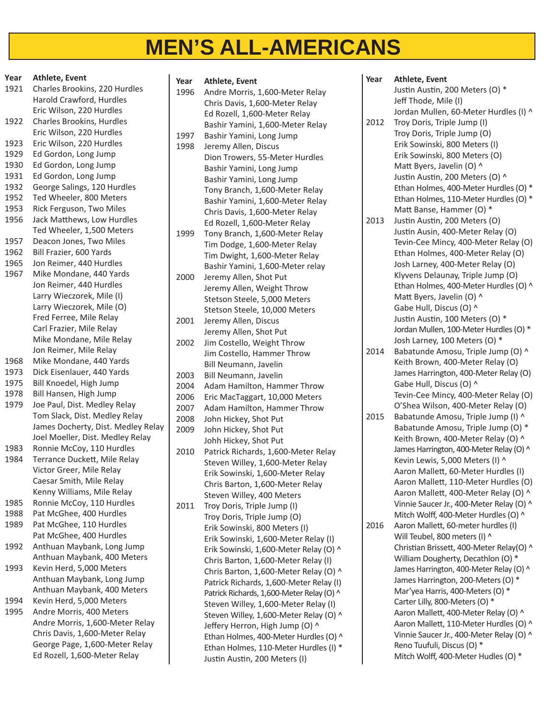# **MEN'S ALL-AMERICANS**

| Year | <b>Athlete, Event</b>                                         |
|------|---------------------------------------------------------------|
| 1921 | Charles Brookins, 220 Hurdles                                 |
|      | Harold Crawford, Hurdles                                      |
|      | Eric Wilson, 220 Hurdles                                      |
| 1922 | <b>Charles Brookins, Hurdles</b>                              |
|      | Eric Wilson, 220 Hurdles                                      |
| 1923 | Eric Wilson, 220 Hurdles                                      |
| 1929 | Ed Gordon, Long Jump                                          |
| 1930 | Ed Gordon, Long Jump                                          |
| 1931 | Ed Gordon, Long Jump                                          |
| 1932 | George Salings, 120 Hurdles                                   |
| 1952 | Ted Wheeler, 800 Meters                                       |
| 1953 | Rick Ferguson, Two Miles                                      |
| 1956 | Jack Matthews, Low Hurdles                                    |
|      | Ted Wheeler, 1,500 Meters                                     |
| 1957 | Deacon Jones, Two Miles                                       |
| 1962 | Bill Frazier, 600 Yards                                       |
| 1965 | Jon Reimer, 440 Hurdles                                       |
| 1967 | Mike Mondane, 440 Yards                                       |
|      | Jon Reimer, 440 Hurdles                                       |
|      | Larry Wieczorek, Mile (I)                                     |
|      | Larry Wieczorek, Mile (O)                                     |
|      | Fred Ferree, Mile Relay                                       |
|      | Carl Frazier, Mile Relay                                      |
|      | Mike Mondane, Mile Relay                                      |
|      | Jon Reimer, Mile Relay                                        |
| 1968 | Mike Mondane, 440 Yards                                       |
| 1973 | Dick Eisenlauer, 440 Yards                                    |
| 1975 | Bill Knoedel, High Jump                                       |
| 1978 | Bill Hansen, High Jump                                        |
| 1979 | Joe Paul, Dist. Medley Relay                                  |
|      | Tom Slack, Dist. Medley Relay                                 |
|      | James Docherty, Dist. Medley Relay                            |
|      |                                                               |
|      | Joel Moeller, Dist. Medley Relay<br>Ronnie McCoy, 110 Hurdles |
| 1983 |                                                               |
| 1984 | Terrance Duckett, Mile Relay                                  |
|      | Victor Greer, Mile Relay                                      |
|      | Caesar Smith, Mile Relay                                      |
|      | Kenny Williams, Mile Relay                                    |
| 1985 | Ronnie McCoy, 110 Hurdles                                     |
| 1988 | Pat McGhee, 400 Hurdles                                       |
| 1989 | Pat McGhee, 110 Hurdles                                       |
|      | Pat McGhee, 400 Hurdles                                       |
| 1992 | Anthuan Maybank, Long Jump                                    |
|      | Anthuan Maybank, 400 Meters                                   |
| 1993 | Kevin Herd, 5,000 Meters                                      |
|      | Anthuan Maybank, Long Jump                                    |
|      | Anthuan Maybank, 400 Meters                                   |
| 1994 | Kevin Herd, 5,000 Meters                                      |
| 1995 | Andre Morris, 400 Meters                                      |
|      | Andre Morris, 1,600-Meter Relay                               |
|      | Chris Davis, 1,600-Meter Relay                                |
|      | George Page, 1,600-Meter Relay                                |
|      | Ed Rozell, 1,600-Meter Relay                                  |

| Year | <b>Athlete, Event</b>                     |
|------|-------------------------------------------|
| 1996 | Andre Morris, 1,600-Meter Relay           |
|      | Chris Davis, 1,600-Meter Relay            |
|      | Ed Rozell, 1,600-Meter Relay              |
|      | Bashir Yamini, 1,600-Meter Relay          |
| 1997 | Bashir Yamini, Long Jump                  |
| 1998 | Jeremy Allen, Discus                      |
|      | Dion Trowers, 55-Meter Hurdles            |
|      | Bashir Yamini, Long Jump                  |
|      | Bashir Yamini, Long Jump                  |
|      | Tony Branch, 1,600-Meter Relay            |
|      | Bashir Yamini, 1,600-Meter Relay          |
|      | Chris Davis, 1,600-Meter Relay            |
|      | Ed Rozell, 1,600-Meter Relay              |
| 1999 | Tony Branch, 1,600-Meter Relay            |
|      | Tim Dodge, 1,600-Meter Relay              |
|      | Tim Dwight, 1,600-Meter Relay             |
|      | Bashir Yamini, 1,600-Meter relay          |
| 2000 | Jeremy Allen, Shot Put                    |
|      | Jeremy Allen, Weight Throw                |
|      | Stetson Steele, 5,000 Meters              |
|      | Stetson Steele, 10,000 Meters             |
| 2001 | Jeremy Allen, Discus                      |
|      | Jeremy Allen, Shot Put                    |
| 2002 | Jim Costello, Weight Throw                |
|      | Jim Costello, Hammer Throw                |
|      | Bill Neumann, Javelin                     |
| 2003 | Bill Neumann, Javelin                     |
| 2004 | Adam Hamilton, Hammer Throw               |
| 2006 | Eric MacTaggart, 10,000 Meters            |
| 2007 | Adam Hamilton, Hammer Throw               |
| 2008 | John Hickey, Shot Put                     |
| 2009 | John Hickey, Shot Put                     |
|      | Johh Hickey, Shot Put                     |
| 2010 | Patrick Richards, 1,600-Meter Relay       |
|      | Steven Willey, 1,600-Meter Relay          |
|      | Erik Sowinski, 1,600-Meter Relay          |
|      | Chris Barton, 1,600-Meter Relay           |
|      | Steven Willey, 400 Meters                 |
| 2011 | Troy Doris, Triple Jump (I)               |
|      | Troy Doris, Triple Jump (O)               |
|      | Erik Sowinski, 800 Meters (I)             |
|      | Erik Sowinski, 1,600-Meter Relay (I)      |
|      | Erik Sowinski, 1,600-Meter Relay (O) ^    |
|      | Chris Barton, 1,600-Meter Relay (I)       |
|      | Chris Barton, 1,600-Meter Relay (O) ^     |
|      | Patrick Richards, 1,600-Meter Relay (I)   |
|      | Patrick Richards, 1,600-Meter Relay (O) ^ |
|      | Steven Willey, 1,600-Meter Relay (I)      |
|      | Steven Willey, 1,600-Meter Relay (O) ^    |
|      | Jeffery Herron, High Jump (O) ^           |
|      | Ethan Holmes, 400-Meter Hurdles (O) ^     |
|      | Ethan Holmes, 110-Meter Hurdles (I) *     |
|      | Justin Austin, 200 Meters (I)             |
|      |                                           |

| <b>Athlete, Event</b><br>Justin Austin, 200 Meters (O) *<br>Jeff Thode, Mile (I)<br>Jordan Mullen, 60-Meter Hurdles (I) ^<br>Troy Doris, Triple Jump (I)<br>2012<br>Troy Doris, Triple Jump (O)<br>Erik Sowinski, 800 Meters (I)<br>Erik Sowinski, 800 Meters (O)<br>Matt Byers, Javelin (O) ^<br>Justin Austin, 200 Meters (O) ^<br>Ethan Holmes, 400-Meter Hurdles (O) *<br>Ethan Holmes, 110-Meter Hurdles (O) *<br>Matt Banse, Hammer (O) *<br>Justin Austin, 200 Meters (O)<br>2013<br>Justin Ausin, 400-Meter Relay (O)<br>Tevin-Cee Mincy, 400-Meter Relay (O)<br>Ethan Holmes, 400-Meter Relay (O)<br>Josh Larney, 400-Meter Relay (O)<br>Klyvens Delaunay, Triple Jump (O)<br>Ethan Holmes, 400-Meter Hurdles (O) ^<br>Matt Byers, Javelin (O) ^<br>Gabe Hull, Discus (O) ^<br>Justin Austin, 100 Meters (O) *<br>Jordan Mullen, 100-Meter Hurdles (O) *<br>Josh Larney, 100 Meters (O) *<br>Babatunde Amosu, Triple Jump (O) ^<br>2014<br>Keith Brown, 400-Meter Relay (O)<br>James Harrington, 400-Meter Relay (O)<br>Gabe Hull, Discus (O) ^<br>Tevin-Cee Mincy, 400-Meter Relay (O)<br>O'Shea Wilson, 400-Meter Relay (O)<br>Babatunde Amosu, Triple Jump (I) ^<br>2015<br>Babatunde Amosu, Triple Jump (O) *<br>Keith Brown, 400-Meter Relay (O) ^<br>James Harrington, 400-Meter Relay (O) ^<br>Kevin Lewis, 5,000 Meters (I) ^<br>Aaron Mallett, 60-Meter Hurdles (I)<br>Aaron Mallett, 110-Meter Hurdles (O)<br>Aaron Mallett, 400-Meter Relay (O) ^<br>Vinnie Saucer Jr., 400-Meter Relay (O) ^<br>Mitch Wolff, 400-Meter Hurdles (O) ^<br>Aaron Mallett, 60-meter hurdles (I)<br>2016 |
|----------------------------------------------------------------------------------------------------------------------------------------------------------------------------------------------------------------------------------------------------------------------------------------------------------------------------------------------------------------------------------------------------------------------------------------------------------------------------------------------------------------------------------------------------------------------------------------------------------------------------------------------------------------------------------------------------------------------------------------------------------------------------------------------------------------------------------------------------------------------------------------------------------------------------------------------------------------------------------------------------------------------------------------------------------------------------------------------------------------------------------------------------------------------------------------------------------------------------------------------------------------------------------------------------------------------------------------------------------------------------------------------------------------------------------------------------------------------------------------------------------------------------------------------------------------------------------------------------------|
|                                                                                                                                                                                                                                                                                                                                                                                                                                                                                                                                                                                                                                                                                                                                                                                                                                                                                                                                                                                                                                                                                                                                                                                                                                                                                                                                                                                                                                                                                                                                                                                                          |
|                                                                                                                                                                                                                                                                                                                                                                                                                                                                                                                                                                                                                                                                                                                                                                                                                                                                                                                                                                                                                                                                                                                                                                                                                                                                                                                                                                                                                                                                                                                                                                                                          |
|                                                                                                                                                                                                                                                                                                                                                                                                                                                                                                                                                                                                                                                                                                                                                                                                                                                                                                                                                                                                                                                                                                                                                                                                                                                                                                                                                                                                                                                                                                                                                                                                          |
|                                                                                                                                                                                                                                                                                                                                                                                                                                                                                                                                                                                                                                                                                                                                                                                                                                                                                                                                                                                                                                                                                                                                                                                                                                                                                                                                                                                                                                                                                                                                                                                                          |
|                                                                                                                                                                                                                                                                                                                                                                                                                                                                                                                                                                                                                                                                                                                                                                                                                                                                                                                                                                                                                                                                                                                                                                                                                                                                                                                                                                                                                                                                                                                                                                                                          |
|                                                                                                                                                                                                                                                                                                                                                                                                                                                                                                                                                                                                                                                                                                                                                                                                                                                                                                                                                                                                                                                                                                                                                                                                                                                                                                                                                                                                                                                                                                                                                                                                          |
|                                                                                                                                                                                                                                                                                                                                                                                                                                                                                                                                                                                                                                                                                                                                                                                                                                                                                                                                                                                                                                                                                                                                                                                                                                                                                                                                                                                                                                                                                                                                                                                                          |
|                                                                                                                                                                                                                                                                                                                                                                                                                                                                                                                                                                                                                                                                                                                                                                                                                                                                                                                                                                                                                                                                                                                                                                                                                                                                                                                                                                                                                                                                                                                                                                                                          |
|                                                                                                                                                                                                                                                                                                                                                                                                                                                                                                                                                                                                                                                                                                                                                                                                                                                                                                                                                                                                                                                                                                                                                                                                                                                                                                                                                                                                                                                                                                                                                                                                          |
|                                                                                                                                                                                                                                                                                                                                                                                                                                                                                                                                                                                                                                                                                                                                                                                                                                                                                                                                                                                                                                                                                                                                                                                                                                                                                                                                                                                                                                                                                                                                                                                                          |
|                                                                                                                                                                                                                                                                                                                                                                                                                                                                                                                                                                                                                                                                                                                                                                                                                                                                                                                                                                                                                                                                                                                                                                                                                                                                                                                                                                                                                                                                                                                                                                                                          |
|                                                                                                                                                                                                                                                                                                                                                                                                                                                                                                                                                                                                                                                                                                                                                                                                                                                                                                                                                                                                                                                                                                                                                                                                                                                                                                                                                                                                                                                                                                                                                                                                          |
|                                                                                                                                                                                                                                                                                                                                                                                                                                                                                                                                                                                                                                                                                                                                                                                                                                                                                                                                                                                                                                                                                                                                                                                                                                                                                                                                                                                                                                                                                                                                                                                                          |
|                                                                                                                                                                                                                                                                                                                                                                                                                                                                                                                                                                                                                                                                                                                                                                                                                                                                                                                                                                                                                                                                                                                                                                                                                                                                                                                                                                                                                                                                                                                                                                                                          |
|                                                                                                                                                                                                                                                                                                                                                                                                                                                                                                                                                                                                                                                                                                                                                                                                                                                                                                                                                                                                                                                                                                                                                                                                                                                                                                                                                                                                                                                                                                                                                                                                          |
|                                                                                                                                                                                                                                                                                                                                                                                                                                                                                                                                                                                                                                                                                                                                                                                                                                                                                                                                                                                                                                                                                                                                                                                                                                                                                                                                                                                                                                                                                                                                                                                                          |
|                                                                                                                                                                                                                                                                                                                                                                                                                                                                                                                                                                                                                                                                                                                                                                                                                                                                                                                                                                                                                                                                                                                                                                                                                                                                                                                                                                                                                                                                                                                                                                                                          |
|                                                                                                                                                                                                                                                                                                                                                                                                                                                                                                                                                                                                                                                                                                                                                                                                                                                                                                                                                                                                                                                                                                                                                                                                                                                                                                                                                                                                                                                                                                                                                                                                          |
|                                                                                                                                                                                                                                                                                                                                                                                                                                                                                                                                                                                                                                                                                                                                                                                                                                                                                                                                                                                                                                                                                                                                                                                                                                                                                                                                                                                                                                                                                                                                                                                                          |
|                                                                                                                                                                                                                                                                                                                                                                                                                                                                                                                                                                                                                                                                                                                                                                                                                                                                                                                                                                                                                                                                                                                                                                                                                                                                                                                                                                                                                                                                                                                                                                                                          |
|                                                                                                                                                                                                                                                                                                                                                                                                                                                                                                                                                                                                                                                                                                                                                                                                                                                                                                                                                                                                                                                                                                                                                                                                                                                                                                                                                                                                                                                                                                                                                                                                          |
|                                                                                                                                                                                                                                                                                                                                                                                                                                                                                                                                                                                                                                                                                                                                                                                                                                                                                                                                                                                                                                                                                                                                                                                                                                                                                                                                                                                                                                                                                                                                                                                                          |
|                                                                                                                                                                                                                                                                                                                                                                                                                                                                                                                                                                                                                                                                                                                                                                                                                                                                                                                                                                                                                                                                                                                                                                                                                                                                                                                                                                                                                                                                                                                                                                                                          |
|                                                                                                                                                                                                                                                                                                                                                                                                                                                                                                                                                                                                                                                                                                                                                                                                                                                                                                                                                                                                                                                                                                                                                                                                                                                                                                                                                                                                                                                                                                                                                                                                          |
|                                                                                                                                                                                                                                                                                                                                                                                                                                                                                                                                                                                                                                                                                                                                                                                                                                                                                                                                                                                                                                                                                                                                                                                                                                                                                                                                                                                                                                                                                                                                                                                                          |
|                                                                                                                                                                                                                                                                                                                                                                                                                                                                                                                                                                                                                                                                                                                                                                                                                                                                                                                                                                                                                                                                                                                                                                                                                                                                                                                                                                                                                                                                                                                                                                                                          |
|                                                                                                                                                                                                                                                                                                                                                                                                                                                                                                                                                                                                                                                                                                                                                                                                                                                                                                                                                                                                                                                                                                                                                                                                                                                                                                                                                                                                                                                                                                                                                                                                          |
|                                                                                                                                                                                                                                                                                                                                                                                                                                                                                                                                                                                                                                                                                                                                                                                                                                                                                                                                                                                                                                                                                                                                                                                                                                                                                                                                                                                                                                                                                                                                                                                                          |
|                                                                                                                                                                                                                                                                                                                                                                                                                                                                                                                                                                                                                                                                                                                                                                                                                                                                                                                                                                                                                                                                                                                                                                                                                                                                                                                                                                                                                                                                                                                                                                                                          |
|                                                                                                                                                                                                                                                                                                                                                                                                                                                                                                                                                                                                                                                                                                                                                                                                                                                                                                                                                                                                                                                                                                                                                                                                                                                                                                                                                                                                                                                                                                                                                                                                          |
|                                                                                                                                                                                                                                                                                                                                                                                                                                                                                                                                                                                                                                                                                                                                                                                                                                                                                                                                                                                                                                                                                                                                                                                                                                                                                                                                                                                                                                                                                                                                                                                                          |
|                                                                                                                                                                                                                                                                                                                                                                                                                                                                                                                                                                                                                                                                                                                                                                                                                                                                                                                                                                                                                                                                                                                                                                                                                                                                                                                                                                                                                                                                                                                                                                                                          |
|                                                                                                                                                                                                                                                                                                                                                                                                                                                                                                                                                                                                                                                                                                                                                                                                                                                                                                                                                                                                                                                                                                                                                                                                                                                                                                                                                                                                                                                                                                                                                                                                          |
|                                                                                                                                                                                                                                                                                                                                                                                                                                                                                                                                                                                                                                                                                                                                                                                                                                                                                                                                                                                                                                                                                                                                                                                                                                                                                                                                                                                                                                                                                                                                                                                                          |
|                                                                                                                                                                                                                                                                                                                                                                                                                                                                                                                                                                                                                                                                                                                                                                                                                                                                                                                                                                                                                                                                                                                                                                                                                                                                                                                                                                                                                                                                                                                                                                                                          |
|                                                                                                                                                                                                                                                                                                                                                                                                                                                                                                                                                                                                                                                                                                                                                                                                                                                                                                                                                                                                                                                                                                                                                                                                                                                                                                                                                                                                                                                                                                                                                                                                          |
|                                                                                                                                                                                                                                                                                                                                                                                                                                                                                                                                                                                                                                                                                                                                                                                                                                                                                                                                                                                                                                                                                                                                                                                                                                                                                                                                                                                                                                                                                                                                                                                                          |
|                                                                                                                                                                                                                                                                                                                                                                                                                                                                                                                                                                                                                                                                                                                                                                                                                                                                                                                                                                                                                                                                                                                                                                                                                                                                                                                                                                                                                                                                                                                                                                                                          |
|                                                                                                                                                                                                                                                                                                                                                                                                                                                                                                                                                                                                                                                                                                                                                                                                                                                                                                                                                                                                                                                                                                                                                                                                                                                                                                                                                                                                                                                                                                                                                                                                          |
|                                                                                                                                                                                                                                                                                                                                                                                                                                                                                                                                                                                                                                                                                                                                                                                                                                                                                                                                                                                                                                                                                                                                                                                                                                                                                                                                                                                                                                                                                                                                                                                                          |
| Will Teubel, 800 meters (I) ^                                                                                                                                                                                                                                                                                                                                                                                                                                                                                                                                                                                                                                                                                                                                                                                                                                                                                                                                                                                                                                                                                                                                                                                                                                                                                                                                                                                                                                                                                                                                                                            |
| Christian Brissett, 400-Meter Relay(O) ^                                                                                                                                                                                                                                                                                                                                                                                                                                                                                                                                                                                                                                                                                                                                                                                                                                                                                                                                                                                                                                                                                                                                                                                                                                                                                                                                                                                                                                                                                                                                                                 |
| William Dougherty, Decathlon (O) *                                                                                                                                                                                                                                                                                                                                                                                                                                                                                                                                                                                                                                                                                                                                                                                                                                                                                                                                                                                                                                                                                                                                                                                                                                                                                                                                                                                                                                                                                                                                                                       |
| James Harrington, 400-Meter Relay (O) ^                                                                                                                                                                                                                                                                                                                                                                                                                                                                                                                                                                                                                                                                                                                                                                                                                                                                                                                                                                                                                                                                                                                                                                                                                                                                                                                                                                                                                                                                                                                                                                  |
| James Harrington, 200-Meters (O) *                                                                                                                                                                                                                                                                                                                                                                                                                                                                                                                                                                                                                                                                                                                                                                                                                                                                                                                                                                                                                                                                                                                                                                                                                                                                                                                                                                                                                                                                                                                                                                       |
| Mar'yea Harris, 400-Meters (O) *                                                                                                                                                                                                                                                                                                                                                                                                                                                                                                                                                                                                                                                                                                                                                                                                                                                                                                                                                                                                                                                                                                                                                                                                                                                                                                                                                                                                                                                                                                                                                                         |
| Carter Lilly, 800-Meters (O) *                                                                                                                                                                                                                                                                                                                                                                                                                                                                                                                                                                                                                                                                                                                                                                                                                                                                                                                                                                                                                                                                                                                                                                                                                                                                                                                                                                                                                                                                                                                                                                           |
| Aaron Mallett, 400-Meter Relay (O) ^                                                                                                                                                                                                                                                                                                                                                                                                                                                                                                                                                                                                                                                                                                                                                                                                                                                                                                                                                                                                                                                                                                                                                                                                                                                                                                                                                                                                                                                                                                                                                                     |
|                                                                                                                                                                                                                                                                                                                                                                                                                                                                                                                                                                                                                                                                                                                                                                                                                                                                                                                                                                                                                                                                                                                                                                                                                                                                                                                                                                                                                                                                                                                                                                                                          |
| Aaron Mallett, 110-Meter Hurdles (O) ^                                                                                                                                                                                                                                                                                                                                                                                                                                                                                                                                                                                                                                                                                                                                                                                                                                                                                                                                                                                                                                                                                                                                                                                                                                                                                                                                                                                                                                                                                                                                                                   |
| Vinnie Saucer Jr., 400-Meter Relay (O) ^<br>Reno Tuufuli, Discus (O) *                                                                                                                                                                                                                                                                                                                                                                                                                                                                                                                                                                                                                                                                                                                                                                                                                                                                                                                                                                                                                                                                                                                                                                                                                                                                                                                                                                                                                                                                                                                                   |